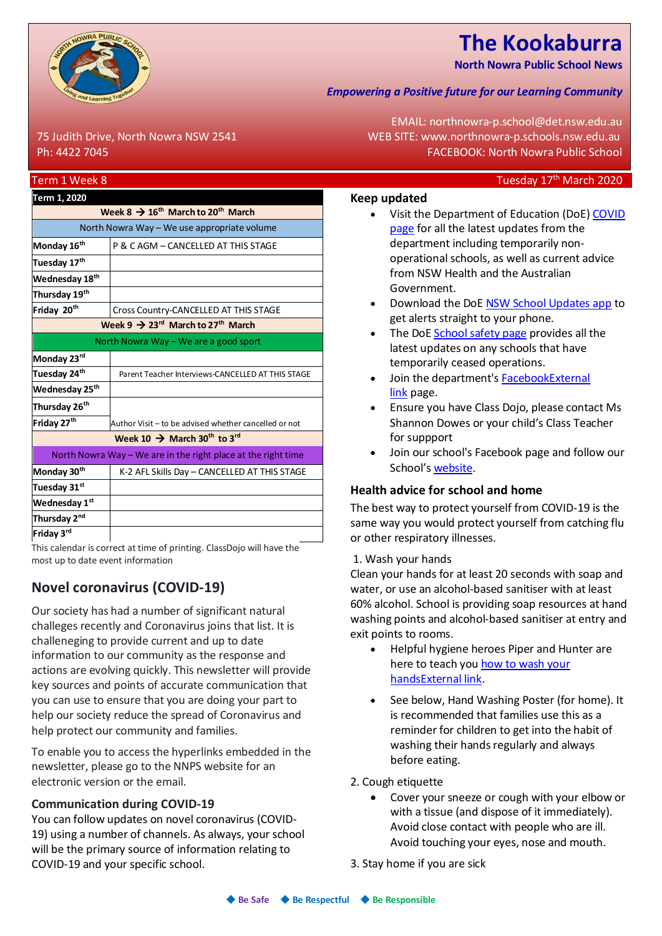

# **The Kookaburra**

**North Nowra Public School News**

#### *Empowering a Positive future for our Learning Community*

| Term 1, 2020                                                          |                                                                       |
|-----------------------------------------------------------------------|-----------------------------------------------------------------------|
|                                                                       | Week 8 $\rightarrow$ 16 <sup>th</sup> March to 20 <sup>th</sup> March |
| North Nowra Way – We use appropriate volume                           |                                                                       |
| Monday 16 <sup>th</sup>                                               | P & C AGM - CANCELLED AT THIS STAGE                                   |
| Tuesday 17 <sup>th</sup>                                              |                                                                       |
| Wednesday 18 <sup>th</sup>                                            |                                                                       |
| Thursday 19 <sup>th</sup>                                             |                                                                       |
| Friday 20 <sup>th</sup>                                               | Cross Country-CANCELLED AT THIS STAGE                                 |
| Week 9 $\rightarrow$ 23 <sup>rd</sup> March to 27 <sup>th</sup> March |                                                                       |
| North Nowra Way – We are a good sport                                 |                                                                       |
| Monday 23rd                                                           |                                                                       |
| Tuesday 24 <sup>th</sup>                                              | Parent Teacher Interviews-CANCELLED AT THIS STAGE                     |
| Wednesday 25 <sup>th</sup>                                            |                                                                       |
| Thursday 26 <sup>th</sup>                                             |                                                                       |
| Friday 27 <sup>th</sup>                                               | Author Visit - to be advised whether cancelled or not                 |
| Week 10 $\rightarrow$ March 30 <sup>th</sup> to 3 <sup>rd</sup>       |                                                                       |
| North Nowra Way $-$ We are in the right place at the right time       |                                                                       |
| Monday 30 <sup>th</sup>                                               | K-2 AFL Skills Day - CANCELLED AT THIS STAGE                          |
| Tuesday 31st                                                          |                                                                       |
| Wednesday 1 <sup>st</sup>                                             |                                                                       |
| Thursday 2 <sup>nd</sup>                                              |                                                                       |
| Friday 3 <sup>rd</sup>                                                |                                                                       |

This calendar is correct at time of printing. ClassDojo will have the most up to date event information

## **Novel coronavirus (COVID-19)**

Our society has had a number of significant natural challeges recently and Coronavirus joins that list. It is challeneging to provide current and up to date information to our community as the response and actions are evolving quickly. This newsletter will provide key sources and points of accurate communication that you can use to ensure that you are doing your part to help our society reduce the spread of Coronavirus and help protect our community and families.

To enable you to access the hyperlinks embedded in the newsletter, please go to the NNPS website for an electronic version or the email.

#### **Communication during COVID-19**

You can follow updates on novel coronavirus (COVID-19) using a number of channels. As always, your school will be the primary source of information relating to COVID-19 and your specific school.

 EMAIL: [northnowra-p.school@det.nsw.edu.au](mailto:northnowra-p.school@det.nsw.edu.au) 75 Judith Drive, North Nowra NSW 2541 WEB SITE[: www.northnowra-p.schools.nsw.edu.au](http://www.northnowra-p.schools.nsw.edu.au/) Ph: 4422 7045 FACEBOOK: North Nowra Public School

#### Term 1 Week 8 Tuesday 17th March 2020

#### **Keep updated**

- Visit the Department of Education (DoE) [COVID](https://education.nsw.gov.au/public-schools/school-safety/novel-coronavirus)  [page](https://education.nsw.gov.au/public-schools/school-safety/novel-coronavirus) for all the latest updates from the department including temporarily nonoperational schools, as well as current advice from NSW Health and the Australian Government.
- Download the DoE [NSW School Updates app](https://education.nsw.gov.au/public-schools/practical-help-for-parents-and-carers/nsw-school-updates-app) to get alerts straight to your phone.
- The DoE [School safety page](https://education.nsw.gov.au/public-schools/school-safety) provides all the latest updates on any schools that have temporarily ceased operations.
- Join the department's [FacebookExternal](https://www.facebook.com/NSWDepartmentofEducation/)  [link](https://www.facebook.com/NSWDepartmentofEducation/) page.
- Ensure you have Class Dojo, please contact Ms Shannon Dowes or your child's Class Teacher for suppport
- Join our school's Facebook page and follow our School's [website.](https://northnowra-p.schools.nsw.gov.au/)

#### **Health advice for school and home**

The best way to protect yourself from COVID-19 is the same way you would protect yourself from catching flu or other respiratory illnesses.

1. Wash your hands

Clean your hands for at least 20 seconds with soap and water, or use an alcohol-based sanitiser with at least 60% alcohol. School is providing soap resources at hand washing points and alcohol-based sanitiser at entry and exit points to rooms.

- Helpful hygiene heroes Piper and Hunter are here to teach you [how to wash your](https://www.facebook.com/watch/?v=832539267210585)  [handsExternal link.](https://www.facebook.com/watch/?v=832539267210585)
- See below, Hand Washing Poster (for home). It is recommended that families use this as a reminder for children to get into the habit of washing their hands regularly and always before eating.
- 2. Cough etiquette
	- Cover your sneeze or cough with your elbow or with a tissue (and dispose of it immediately). Avoid close contact with people who are ill. Avoid touching your eyes, nose and mouth.

3. Stay home if you are sick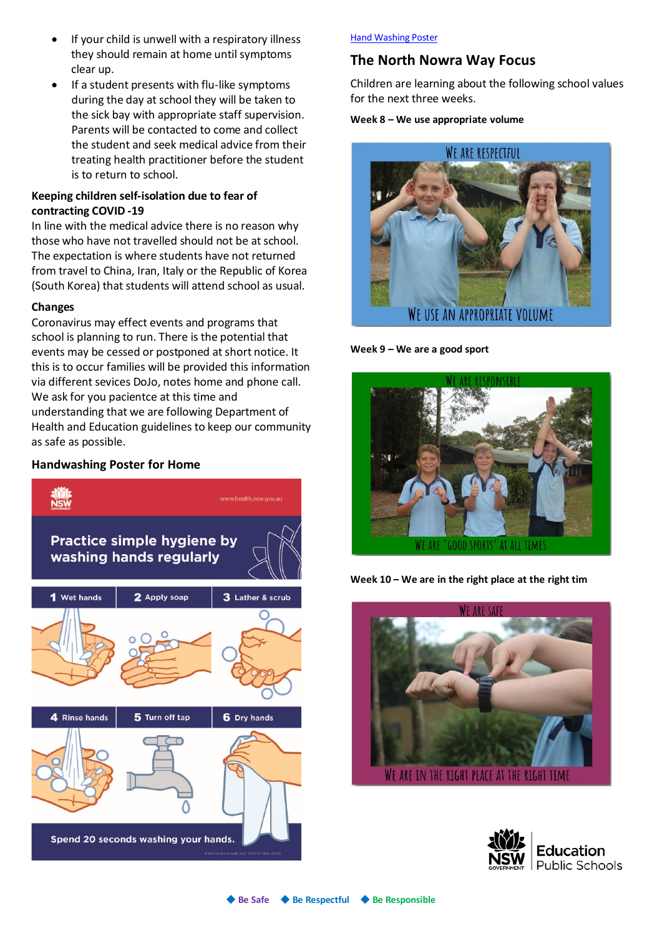- If your child is unwell with a respiratory illness they should remain at home until symptoms clear up.
- If a student presents with flu-like symptoms during the day at school they will be taken to the sick bay with appropriate staff supervision. Parents will be contacted to come and collect the student and seek medical advice from their treating health practitioner before the student is to return to school.

#### **Keeping children self-isolation due to fear of contracting COVID -19**

In line with the medical advice there is no reason why those who have not travelled should not be at school. The expectation is where students have not returned from travel to China, Iran, Italy or the Republic of Korea (South Korea) that students will attend school as usual.

#### **Changes**

Coronavirus may effect events and programs that school is planning to run. There is the potential that events may be cessed or postponed at short notice. It this is to occur families will be provided this information via different sevices DoJo, notes home and phone call. We ask for you pacientce at this time and understanding that we are following Department of Health and Education guidelines to keep our community as safe as possible.

#### **Handwashing Poster for Home**



#### [Hand Washing Poster](https://www.health.nsw.gov.au/pandemic/Publications/hand-wash-poster-printer-friendly.pdf)

### **The North Nowra Way Focus**

Children are learning about the following school values for the next three weeks.

#### **Week 8 – We use appropriate volume**



**Week 9 – We are a good sport**